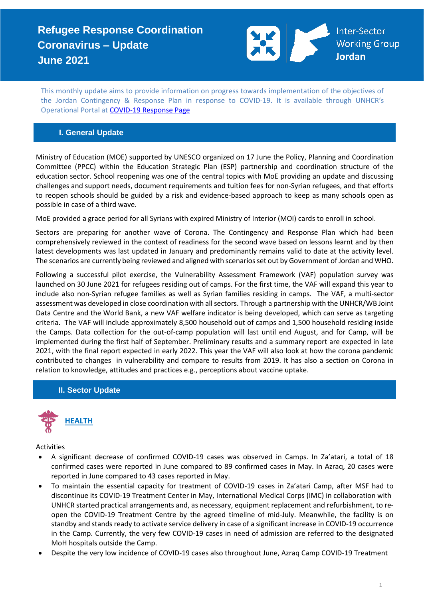

This monthly update aims to provide information on progress towards implementation of the objectives of the Jordan Contingency & Response Plan in response to COVID-19. It is available through UNHCR's Operational Portal at [COVID-19 Response Page](https://eur02.safelinks.protection.outlook.com/?url=https%3A%2F%2Fdata2.unhcr.org%2Fen%2Fworking-group%2F251%3Fsv%3D4%26geo%3D36&data=02%7C01%7Cbyunc%40unhcr.org%7C0621d0ad56f141cfe71708d7d3d2dc45%7Ce5c37981666441348a0c6543d2af80be%7C0%7C0%7C637210774895002030&sdata=aPEtg5vDIBj3A4AWkO5sOLo7pACA7Q8cjR8bwQyAa8c%3D&reserved=0)

## **I. General Update**

Ministry of Education (MOE) supported by UNESCO organized on 17 June the Policy, Planning and Coordination Committee (PPCC) within the Education Strategic Plan (ESP) partnership and coordination structure of the education sector. School reopening was one of the central topics with MoE providing an update and discussing challenges and support needs, document requirements and tuition fees for non-Syrian refugees, and that efforts to reopen schools should be guided by a risk and evidence-based approach to keep as many schools open as possible in case of a third wave.

MoE provided a grace period for all Syrians with expired Ministry of Interior (MOI) cards to enroll in school.

Sectors are preparing for another wave of Corona. The Contingency and Response Plan which had been comprehensively reviewed in the context of readiness for the second wave based on lessons learnt and by then latest developments was last updated in January and predominantly remains valid to date at the activity level. The scenarios are currently being reviewed and aligned with scenarios set out by Government of Jordan and WHO.

Following a successful pilot exercise, the Vulnerability Assessment Framework (VAF) population survey was launched on 30 June 2021 for refugees residing out of camps. For the first time, the VAF will expand this year to include also non-Syrian refugee families as well as Syrian families residing in camps. The VAF, a multi-sector assessment was developed in close coordination with all sectors. Through a partnership with the UNHCR/WB Joint Data Centre and the World Bank, a new VAF welfare indicator is being developed, which can serve as targeting criteria. The VAF will include approximately 8,500 household out of camps and 1,500 household residing inside the Camps. Data collection for the out-of-camp population will last until end August, and for Camp, will be implemented during the first half of September. Preliminary results and a summary report are expected in late 2021, with the final report expected in early 2022. This year the VAF will also look at how the corona pandemic contributed to changes in vulnerability and compare to results from 2019. It has also a section on Corona in relation to knowledge, attitudes and practices e.g., perceptions about vaccine uptake.

## **II. Sector Update**



Activities

- A significant decrease of confirmed COVID-19 cases was observed in Camps. In Za'atari, a total of 18 confirmed cases were reported in June compared to 89 confirmed cases in May. In Azraq, 20 cases were reported in June compared to 43 cases reported in May.
- To maintain the essential capacity for treatment of COVID-19 cases in Za'atari Camp, after MSF had to discontinue its COVID-19 Treatment Center in May, International Medical Corps (IMC) in collaboration with UNHCR started practical arrangements and, as necessary, equipment replacement and refurbishment, to reopen the COVID-19 Treatment Centre by the agreed timeline of mid-July. Meanwhile, the facility is on standby and stands ready to activate service delivery in case of a significant increase in COVID-19 occurrence in the Camp. Currently, the very few COVID-19 cases in need of admission are referred to the designated MoH hospitals outside the Camp.
- Despite the very low incidence of COVID-19 cases also throughout June, Azraq Camp COVID-19 Treatment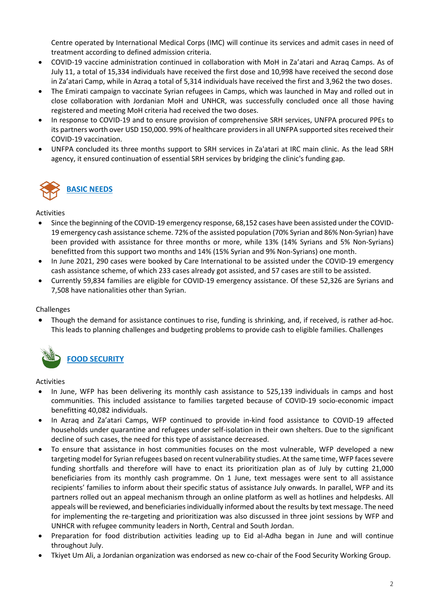Centre operated by International Medical Corps (IMC) will continue its services and admit cases in need of treatment according to defined admission criteria.

- COVID-19 vaccine administration continued in collaboration with MoH in Za'atari and Azraq Camps. As of July 11, a total of 15,334 individuals have received the first dose and 10,998 have received the second dose in Za'atari Camp, while in Azraq a total of 5,314 individuals have received the first and 3,962 the two doses.
- The Emirati campaign to vaccinate Syrian refugees in Camps, which was launched in May and rolled out in close collaboration with Jordanian MoH and UNHCR, was successfully concluded once all those having registered and meeting MoH criteria had received the two doses.
- In response to COVID-19 and to ensure provision of comprehensive SRH services, UNFPA procured PPEs to its partners worth over USD 150,000. 99% of healthcare providers in all UNFPA supported sites received their COVID-19 vaccination.
- UNFPA concluded its three months support to SRH services in Za'atari at IRC main clinic. As the lead SRH agency, it ensured continuation of essential SRH services by bridging the clinic's funding gap.



Activities

- Since the beginning of the COVID-19 emergency response, 68,152 cases have been assisted under the COVID-19 emergency cash assistance scheme. 72% of the assisted population (70% Syrian and 86% Non-Syrian) have been provided with assistance for three months or more, while 13% (14% Syrians and 5% Non-Syrians) benefitted from this support two months and 14% (15% Syrian and 9% Non-Syrians) one month.
- In June 2021, 290 cases were booked by Care International to be assisted under the COVID-19 emergency cash assistance scheme, of which 233 cases already got assisted, and 57 cases are still to be assisted.
- Currently 59,834 families are eligible for COVID-19 emergency assistance. Of these 52,326 are Syrians and 7,508 have nationalities other than Syrian.

## **Challenges**

• Though the demand for assistance continues to rise, funding is shrinking, and, if received, is rather ad-hoc. This leads to planning challenges and budgeting problems to provide cash to eligible families. Challenges



#### Activities

- In June, WFP has been delivering its monthly cash assistance to 525,139 individuals in camps and host communities. This included assistance to families targeted because of COVID-19 socio-economic impact benefitting 40,082 individuals.
- In Azraq and Za'atari Camps, WFP continued to provide in-kind food assistance to COVID-19 affected households under quarantine and refugees under self-isolation in their own shelters. Due to the significant decline of such cases, the need for this type of assistance decreased.
- To ensure that assistance in host communities focuses on the most vulnerable, WFP developed a new targeting model for Syrian refugees based on recent vulnerability studies. Atthe same time, WFP faces severe funding shortfalls and therefore will have to enact its prioritization plan as of July by cutting 21,000 beneficiaries from its monthly cash programme. On 1 June, text messages were sent to all assistance recipients' families to inform about their specific status of assistance July onwards. In parallel, WFP and its partners rolled out an appeal mechanism through an online platform as well as hotlines and helpdesks. All appeals will be reviewed, and beneficiaries individually informed about the results by text message. The need for implementing the re-targeting and prioritization was also discussed in three joint sessions by WFP and UNHCR with refugee community leaders in North, Central and South Jordan.
- Preparation for food distribution activities leading up to Eid al-Adha began in June and will continue throughout July.
- Tkiyet Um Ali, a Jordanian organization was endorsed as new co-chair of the Food Security Working Group.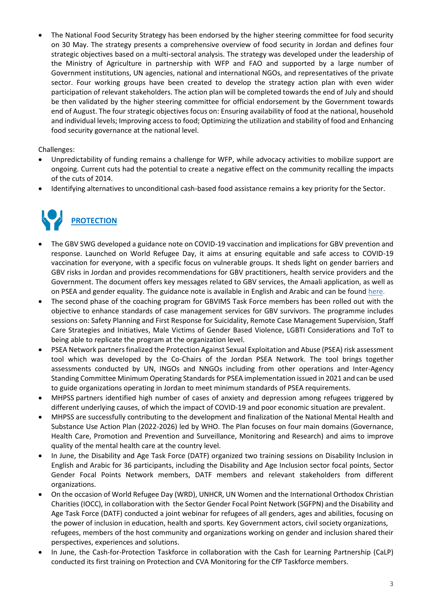The National Food Security Strategy has been endorsed by the higher steering committee for food security on 30 May. The strategy presents a comprehensive overview of food security in Jordan and defines four strategic objectives based on a multi-sectoral analysis. The strategy was developed under the leadership of the Ministry of Agriculture in partnership with WFP and FAO and supported by a large number of Government institutions, UN agencies, national and international NGOs, and representatives of the private sector. Four working groups have been created to develop the strategy action plan with even wider participation of relevant stakeholders. The action plan will be completed towards the end of July and should be then validated by the higher steering committee for official endorsement by the Government towards end of August. The four strategic objectives focus on: Ensuring availability of food at the national, household and individual levels; Improving access to food; Optimizing the utilization and stability of food and Enhancing food security governance at the national level.

Challenges:

- Unpredictability of funding remains a challenge for WFP, while advocacy activities to mobilize support are ongoing. Current cuts had the potential to create a negative effect on the community recalling the impacts of the cuts of 2014.
- Identifying alternatives to unconditional cash-based food assistance remains a key priority for the Sector.



- The GBV SWG developed a guidance note on COVID-19 vaccination and implications for GBV prevention and response. Launched on World Refugee Day, it aims at ensuring equitable and safe access to COVID-19 vaccination for everyone, with a specific focus on vulnerable groups. It sheds light on gender barriers and GBV risks in Jordan and provides recommendations for GBV practitioners, health service providers and the Government. The document offers key messages related to GBV services, the Amaali application, as well as on PSEA and gender equality. The guidance note is available in English and Arabic and can be foun[d here.](https://data2.unhcr.org/en/documents/details/87298)
- The second phase of the coaching program for GBVIMS Task Force members has been rolled out with the objective to enhance standards of case management services for GBV survivors. The programme includes sessions on: Safety Planning and First Response for Suicidality, Remote Case Management Supervision, Staff Care Strategies and Initiatives, Male Victims of Gender Based Violence, LGBTI Considerations and ToT to being able to replicate the program at the organization level.
- PSEA Network partnersfinalized the Protection Against Sexual Exploitation and Abuse (PSEA) risk assessment tool which was developed by the Co-Chairs of the Jordan PSEA Network. The tool brings together assessments conducted by UN, INGOs and NNGOs including from other operations and Inter-Agency Standing Committee Minimum Operating Standards for PSEA implementation issued in 2021 and can be used to guide organizations operating in Jordan to meet minimum standards of PSEA requirements.
- MHPSS partners identified high number of cases of anxiety and depression among refugees triggered by different underlying causes, of which the impact of COVID-19 and poor economic situation are prevalent.
- MHPSS are successfully contributing to the development and finalization of the National Mental Health and Substance Use Action Plan (2022-2026) led by WHO. The Plan focuses on four main domains (Governance, Health Care, Promotion and Prevention and Surveillance, Monitoring and Research) and aims to improve quality of the mental health care at the country level.
- In June, the Disability and Age Task Force (DATF) organized two training sessions on Disability Inclusion in English and Arabic for 36 participants, including the Disability and Age Inclusion sector focal points, Sector Gender Focal Points Network members, DATF members and relevant stakeholders from different organizations.
- On the occasion of World Refugee Day (WRD), UNHCR, UN Women and the International Orthodox Christian Charities (IOCC), in collaboration with the Sector Gender Focal Point Network (SGFPN) and the Disability and Age Task Force (DATF) conducted a joint webinar for refugees of all genders, ages and abilities, focusing on the power of inclusion in education, health and sports. Key Government actors, civil society organizations, refugees, members of the host community and organizations working on gender and inclusion shared their perspectives, experiences and solutions.
- In June, the Cash-for-Protection Taskforce in collaboration with the Cash for Learning Partnership (CaLP) conducted its first training on Protection and CVA Monitoring for the CfP Taskforce members.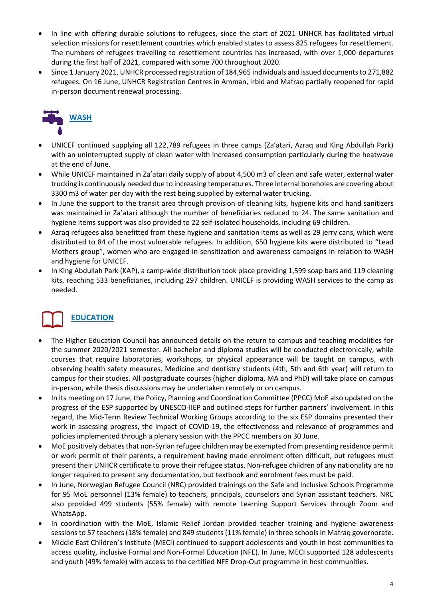- In line with offering durable solutions to refugees, since the start of 2021 UNHCR has facilitated virtual selection missions for resettlement countries which enabled states to assess 825 refugees for resettlement. The numbers of refugees travelling to resettlement countries has increased, with over 1,000 departures during the first half of 2021, compared with some 700 throughout 2020.
- Since 1 January 2021, UNHCR processed registration of 184,965 individuals and issued documents to 271,882 refugees. On 16 June, UNHCR Registration Centres in Amman, Irbid and Mafraq partially reopened for rapid in-person document renewal processing.



- UNICEF continued supplying all 122,789 refugees in three camps (Za'atari, Azraq and King Abdullah Park) with an uninterrupted supply of clean water with increased consumption particularly during the heatwave at the end of June.
- While UNICEF maintained in Za'atari daily supply of about 4,500 m3 of clean and safe water, external water trucking is continuously needed due to increasing temperatures. Three internal boreholes are covering about 3300 m3 of water per day with the rest being supplied by external water trucking.
- In June the support to the transit area through provision of cleaning kits, hygiene kits and hand sanitizers was maintained in Za'atari although the number of beneficiaries reduced to 24. The same sanitation and hygiene items support was also provided to 22 self-isolated households, including 69 children.
- Azraq refugees also benefitted from these hygiene and sanitation items as well as 29 jerry cans, which were distributed to 84 of the most vulnerable refugees. In addition, 650 hygiene kits were distributed to "Lead Mothers group", women who are engaged in sensitization and awareness campaigns in relation to WASH and hygiene for UNICEF.
- In King Abdullah Park (KAP), a camp-wide distribution took place providing 1,599 soap bars and 119 cleaning kits, reaching 533 beneficiaries, including 297 children. UNICEF is providing WASH services to the camp as needed.

# **EDUCATION**

- The Higher Education Council has announced details on the return to campus and teaching modalities for the summer 2020/2021 semester. All bachelor and diploma studies will be conducted electronically, while courses that require laboratories, workshops, or physical appearance will be taught on campus, with observing health safety measures. Medicine and dentistry students (4th, 5th and 6th year) will return to campus for their studies. All postgraduate courses (higher diploma, MA and PhD) will take place on campus in-person, while thesis discussions may be undertaken remotely or on campus.
- In its meeting on 17 June, the Policy, Planning and Coordination Committee (PPCC) MoE also updated on the progress of the ESP supported by UNESCO-IIEP and outlined steps for further partners' involvement. In this regard, the Mid-Term Review Technical Working Groups according to the six ESP domains presented their work in assessing progress, the impact of COVID-19, the effectiveness and relevance of programmes and policies implemented through a plenary session with the PPCC members on 30 June.
- MoE positively debates that non-Syrian refugee children may be exempted from presenting residence permit or work permit of their parents, a requirement having made enrolment often difficult, but refugees must present their UNHCR certificate to prove their refugee status. Non-refugee children of any nationality are no longer required to present any documentation, but textbook and enrolment fees must be paid.
- In June, Norwegian Refugee Council (NRC) provided trainings on the Safe and Inclusive Schools Programme for 95 MoE personnel (13% female) to teachers, principals, counselors and Syrian assistant teachers. NRC also provided 499 students (55% female) with remote Learning Support Services through Zoom and WhatsApp.
- In coordination with the MoE, Islamic Relief Jordan provided teacher training and hygiene awareness sessions to 57 teachers (18% female) and 849 students (11% female) in three schools in Mafraq governorate.
- Middle East Children's Institute (MECI) continued to support adolescents and youth in host communities to access quality, inclusive Formal and Non-Formal Education (NFE). In June, MECI supported 128 adolescents and youth (49% female) with access to the certified NFE Drop-Out programme in host communities.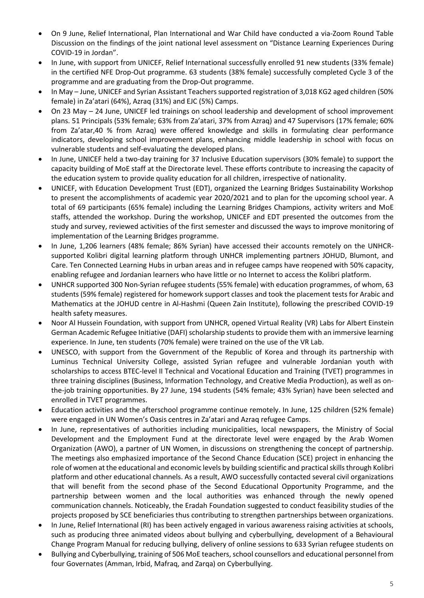- On 9 June, Relief International, Plan International and War Child have conducted a via-Zoom Round Table Discussion on the findings of the joint national level assessment on "Distance Learning Experiences During COVID-19 in Jordan".
- In June, with support from UNICEF, Relief International successfully enrolled 91 new students (33% female) in the certified NFE Drop-Out programme. 63 students (38% female) successfully completed Cycle 3 of the programme and are graduating from the Drop-Out programme.
- In May June, UNICEF and Syrian Assistant Teachers supported registration of 3,018 KG2 aged children (50% female) in Za'atari (64%), Azraq (31%) and EJC (5%) Camps.
- On 23 May 24 June, UNICEF led trainings on school leadership and development of school improvement plans. 51 Principals (53% female; 63% from Za'atari, 37% from Azraq) and 47 Supervisors (17% female; 60% from Za'atar,40 % from Azraq) were offered knowledge and skills in formulating clear performance indicators, developing school improvement plans, enhancing middle leadership in school with focus on vulnerable students and self-evaluating the developed plans.
- In June, UNICEF held a two-day training for 37 Inclusive Education supervisors (30% female) to support the capacity building of MoE staff at the Directorate level. These efforts contribute to increasing the capacity of the education system to provide quality education for all children, irrespective of nationality.
- UNICEF, with Education Development Trust (EDT), organized the Learning Bridges Sustainability Workshop to present the accomplishments of academic year 2020/2021 and to plan for the upcoming school year. A total of 69 participants (65% female) including the Learning Bridges Champions, activity writers and MoE staffs, attended the workshop. During the workshop, UNICEF and EDT presented the outcomes from the study and survey, reviewed activities of the first semester and discussed the ways to improve monitoring of implementation of the Learning Bridges programme.
- In June, 1,206 learners (48% female; 86% Syrian) have accessed their accounts remotely on the UNHCRsupported Kolibri digital learning platform through UNHCR implementing partners JOHUD, Blumont, and Care. Ten Connected Learning Hubs in urban areas and in refugee camps have reopened with 50% capacity, enabling refugee and Jordanian learners who have little or no Internet to access the Kolibri platform.
- UNHCR supported 300 Non-Syrian refugee students (55% female) with education programmes, of whom, 63 students (59% female) registered for homework support classes and took the placement tests for Arabic and Mathematics at the JOHUD centre in Al-Hashmi (Queen Zain Institute), following the prescribed COVID-19 health safety measures.
- Noor Al Hussein Foundation, with support from UNHCR, opened Virtual Reality (VR) Labs for Albert Einstein German Academic Refugee Initiative (DAFI) scholarship students to provide them with an immersive learning experience. In June, ten students (70% female) were trained on the use of the VR Lab.
- UNESCO, with support from the Government of the Republic of Korea and through its partnership with Luminus Technical University College, assisted Syrian refugee and vulnerable Jordanian youth with scholarships to access BTEC-level II Technical and Vocational Education and Training (TVET) programmes in three training disciplines (Business, Information Technology, and Creative Media Production), as well as onthe-job training opportunities. By 27 June, 194 students (54% female; 43% Syrian) have been selected and enrolled in TVET programmes.
- Education activities and the afterschool programme continue remotely. In June, 125 children (52% female) were engaged in UN Women's Oasis centres in Za'atari and Azraq refugee Camps.
- In June, representatives of authorities including municipalities, local newspapers, the Ministry of Social Development and the Employment Fund at the directorate level were engaged by the Arab Women Organization (AWO), a partner of UN Women, in discussions on strengthening the concept of partnership. The meetings also emphasized importance of the Second Chance Education (SCE) project in enhancing the role of women at the educational and economic levels by building scientific and practical skills through Kolibri platform and other educational channels. As a result, AWO successfully contacted several civil organizations that will benefit from the second phase of the Second Educational Opportunity Programme, and the partnership between women and the local authorities was enhanced through the newly opened communication channels. Noticeably, the Eradah Foundation suggested to conduct feasibility studies of the projects proposed by SCE beneficiaries thus contributing to strengthen partnerships between organizations.
- In June, Relief International (RI) has been actively engaged in various awareness raising activities at schools, such as producing three animated videos about bullying and cyberbullying, development of a Behavioural Change Program Manual for reducing bullying, delivery of online sessions to 633 Syrian refugee students on
- Bullying and Cyberbullying, training of 506 MoE teachers, school counsellors and educational personnel from four Governates (Amman, Irbid, Mafraq, and Zarqa) on Cyberbullying.